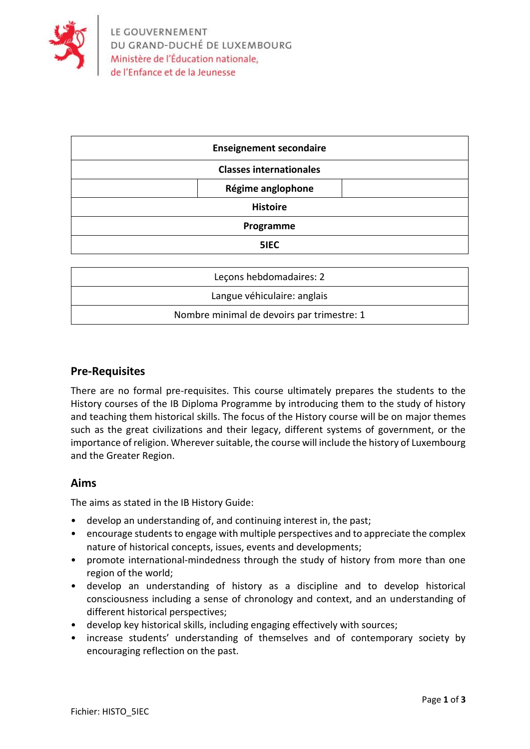

| <b>Enseignement secondaire</b> |
|--------------------------------|
| <b>Classes internationales</b> |
| Régime anglophone              |
| <b>Histoire</b>                |
| Programme                      |
| 5IEC                           |

| Lecons hebdomadaires: 2                    |
|--------------------------------------------|
| Langue véhiculaire: anglais                |
| Nombre minimal de devoirs par trimestre: 1 |

#### **Pre-Requisites**

There are no formal pre-requisites. This course ultimately prepares the students to the History courses of the IB Diploma Programme by introducing them to the study of history and teaching them historical skills. The focus of the History course will be on major themes such as the great civilizations and their legacy, different systems of government, or the importance of religion. Wherever suitable, the course will include the history of Luxembourg and the Greater Region.

#### **Aims**

The aims as stated in the IB History Guide:

- develop an understanding of, and continuing interest in, the past;
- encourage students to engage with multiple perspectives and to appreciate the complex nature of historical concepts, issues, events and developments;
- promote international-mindedness through the study of history from more than one region of the world;
- develop an understanding of history as a discipline and to develop historical consciousness including a sense of chronology and context, and an understanding of different historical perspectives;
- develop key historical skills, including engaging effectively with sources;
- increase students' understanding of themselves and of contemporary society by encouraging reflection on the past.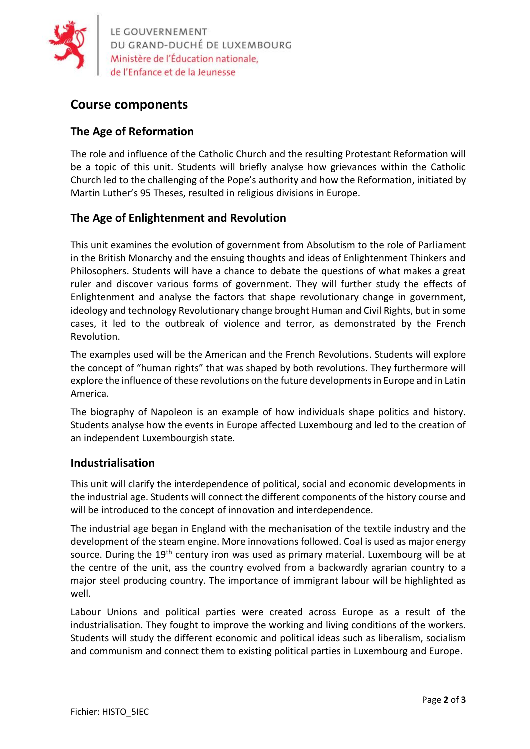

LE GOUVERNEMENT<br>DU GRAND-DUCHÉ DE LUXEMBOURG<br>Ministère de l'Éducation nationale,

# **Course components**

## **The Age of Reformation**

The role and influence of the Catholic Church and the resulting Protestant Reformation will be a topic of this unit. Students will briefly analyse how grievances within the Catholic Church led to the challenging of the Pope's authority and how the Reformation, initiated by Martin Luther's 95 Theses, resulted in religious divisions in Europe.

## **The Age of Enlightenment and Revolution**

This unit examines the evolution of government from Absolutism to the role of Parliament in the British Monarchy and the ensuing thoughts and ideas of Enlightenment Thinkers and Philosophers. Students will have a chance to debate the questions of what makes a great ruler and discover various forms of government. They will further study the effects of Enlightenment and analyse the factors that shape revolutionary change in government, ideology and technology Revolutionary change brought Human and Civil Rights, but in some cases, it led to the outbreak of violence and terror, as demonstrated by the French Revolution.

The examples used will be the American and the French Revolutions. Students will explore the concept of "human rights" that was shaped by both revolutions. They furthermore will explore the influence of these revolutions on the future developments in Europe and in Latin America.

The biography of Napoleon is an example of how individuals shape politics and history. Students analyse how the events in Europe affected Luxembourg and led to the creation of an independent Luxembourgish state.

### **Industrialisation**

This unit will clarify the interdependence of political, social and economic developments in the industrial age. Students will connect the different components of the history course and will be introduced to the concept of innovation and interdependence.

The industrial age began in England with the mechanisation of the textile industry and the development of the steam engine. More innovations followed. Coal is used as major energy source. During the 19<sup>th</sup> century iron was used as primary material. Luxembourg will be at the centre of the unit, ass the country evolved from a backwardly agrarian country to a major steel producing country. The importance of immigrant labour will be highlighted as well.

Labour Unions and political parties were created across Europe as a result of the industrialisation. They fought to improve the working and living conditions of the workers. Students will study the different economic and political ideas such as liberalism, socialism and communism and connect them to existing political parties in Luxembourg and Europe.